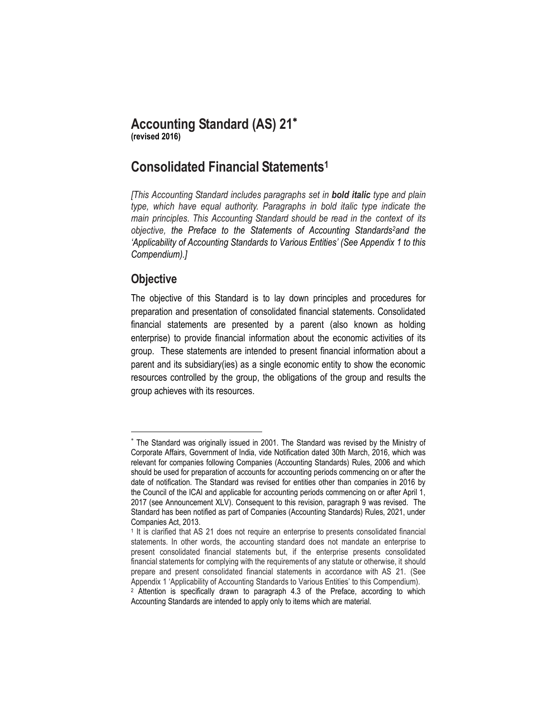### **Accounting Standard (AS) 21 (revised 2016)**

# **Consolidated Financial Statements 1**

*[This Accounting Standard includes paragraphs set in bold italic type and plain type, which have equal authority. Paragraphs in bold italic type indicate the main principles. This Accounting Standard should be read in the context of its objective, the Preface to the Statements of Accounting Standards2and the 'Applicability of Accounting Standards to Various Entities' (See Appendix 1 to this Compendium).]*

## **Objective**

 $\overline{a}$ 

The objective of this Standard is to lay down principles and procedures for preparation and presentation of consolidated financial statements. Consolidated financial statements are presented by a parent (also known as holding enterprise) to provide financial information about the economic activities of its group. These statements are intended to present financial information about a parent and its subsidiary(ies) as a single economic entity to show the economic resources controlled by the group, the obligations of the group and results the group achieves with its resources.

The Standard was originally issued in 2001. The Standard was revised by the Ministry of Corporate Affairs, Government of India, vide Notification dated 30th March, 2016, which was relevant for companies following Companies (Accounting Standards) Rules, 2006 and which should be used for preparation of accounts for accounting periods commencing on or after the date of notification. The Standard was revised for entities other than companies in 2016 by the Council of the ICAI and applicable for accounting periods commencing on or after April 1, 2017 (see Announcement XLV). Consequent to this revision, paragraph 9 was revised. The Standard has been notified as part of Companies (Accounting Standards) Rules, 2021, under Companies Act, 2013.

<sup>&</sup>lt;sup>1</sup> It is clarified that AS 21 does not require an enterprise to presents consolidated financial statements. In other words, the accounting standard does not mandate an enterprise to present consolidated financial statements but, if the enterprise presents consolidated financial statements for complying with the requirements of any statute or otherwise, it should prepare and present consolidated financial statements in accordance with AS 21. (See Appendix 1 'Applicability of Accounting Standards to Various Entities' to this Compendium).

<sup>2</sup> Attention is specifically drawn to paragraph 4.3 of the Preface, according to which Accounting Standards are intended to apply only to items which are material.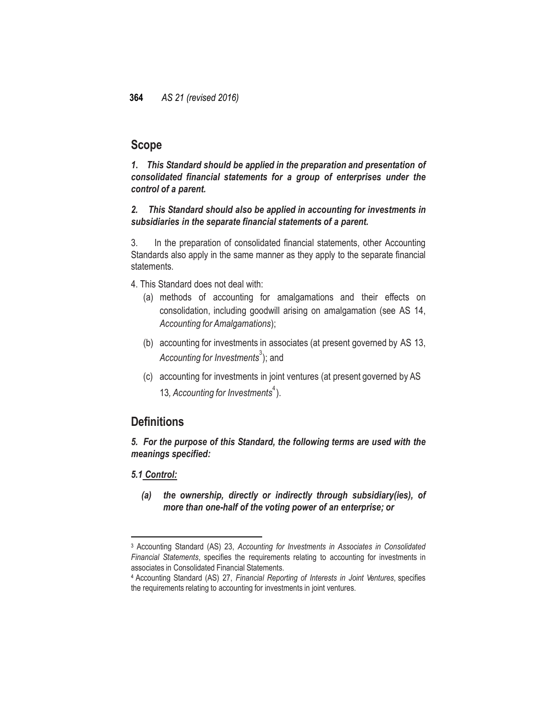## **Scope**

*1***.** *This Standard should be applied in the preparation and presentation of consolidated financial statements for a group of enterprises under the control of a parent.*

*2. This Standard should also be applied in accounting for investments in subsidiaries in the separate financial statements of a parent.*

3. In the preparation of consolidated financial statements, other Accounting Standards also apply in the same manner as they apply to the separate financial statements.

4. This Standard does not deal with:

- (a) methods of accounting for amalgamations and their effects on consolidation, including goodwill arising on amalgamation (see AS 14, *Accounting for Amalgamations*);
- (b) accounting for investments in associates (at present governed by AS 13, *Accounting for Investments* 3 ); and
- (c) accounting for investments in joint ventures (at present governed by AS 13, Accounting for Investments<sup>4</sup>).

## **Definitions**

*5. For the purpose of this Standard, the following terms are used with the meanings specified:*

#### *5.1 Control:*

l

*(a) the ownership, directly or indirectly through subsidiary(ies), of more than one-half of the voting power of an enterprise; or*

<sup>3</sup> Accounting Standard (AS) 23, *Accounting for Investments in Associates in Consolidated Financial Statements*, specifies the requirements relating to accounting for investments in associates in Consolidated Financial Statements.

<sup>4</sup> Accounting Standard (AS) 27, *Financial Reporting of Interests in Joint Ventures*, specifies the requirements relating to accounting for investments in joint ventures.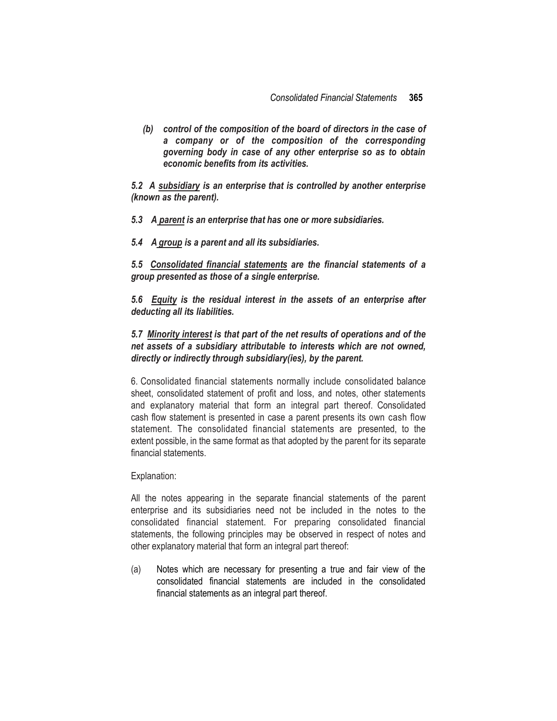*(b) control of the composition of the board of directors in the case of a company or of the composition of the corresponding governing body in case of any other enterprise so as to obtain economic benefits from its activities.*

*5.2 A subsidiary is an enterprise that is controlled by another enterprise (known as the parent).*

- *5.3 A parent is an enterprise that has one or more subsidiaries.*
- *5.4 A group is a parent and all its subsidiaries.*

*5.5 Consolidated financial statements are the financial statements of a group presented as those of a single enterprise.*

*5.6 Equity is the residual interest in the assets of an enterprise after deducting all its liabilities.*

## *5.7 Minority interest is that part of the net results of operations and of the net assets of a subsidiary attributable to interests which are not owned, directly or indirectly through subsidiary(ies), by the parent.*

6. Consolidated financial statements normally include consolidated balance sheet, consolidated statement of profit and loss, and notes, other statements and explanatory material that form an integral part thereof. Consolidated cash flow statement is presented in case a parent presents its own cash flow statement. The consolidated financial statements are presented, to the extent possible, in the same format as that adopted by the parent for its separate financial statements.

Explanation:

All the notes appearing in the separate financial statements of the parent enterprise and its subsidiaries need not be included in the notes to the consolidated financial statement. For preparing consolidated financial statements, the following principles may be observed in respect of notes and other explanatory material that form an integral part thereof:

(a) Notes which are necessary for presenting a true and fair view of the consolidated financial statements are included in the consolidated financial statements as an integral part thereof.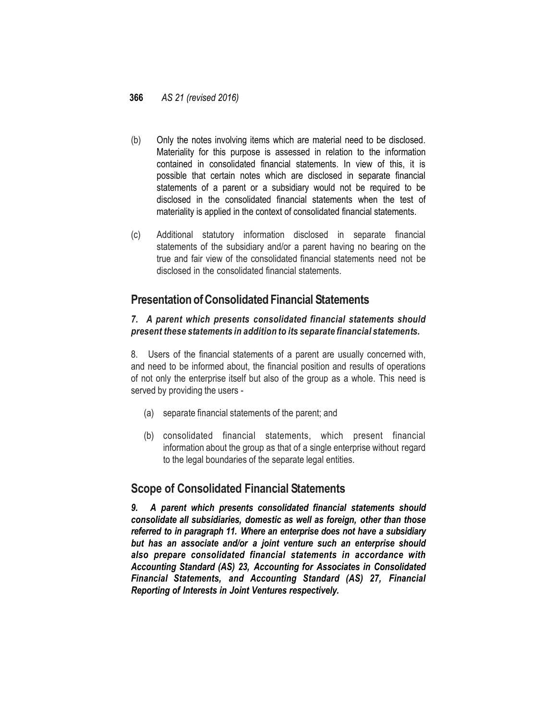- (b) Only the notes involving items which are material need to be disclosed. Materiality for this purpose is assessed in relation to the information contained in consolidated financial statements. In view of this, it is possible that certain notes which are disclosed in separate financial statements of a parent or a subsidiary would not be required to be disclosed in the consolidated financial statements when the test of materiality is applied in the context of consolidated financial statements.
- (c) Additional statutory information disclosed in separate financial statements of the subsidiary and/or a parent having no bearing on the true and fair view of the consolidated financial statements need not be disclosed in the consolidated financial statements.

## **PresentationofConsolidated Financial Statements**

## *7. A parent which presents consolidated financial statements should present these statements in addition to its separate financial statements.*

8. Users of the financial statements of a parent are usually concerned with, and need to be informed about, the financial position and results of operations of not only the enterprise itself but also of the group as a whole. This need is served by providing the users -

- (a) separate financial statements of the parent; and
- (b) consolidated financial statements, which present financial information about the group as that of a single enterprise without regard to the legal boundaries of the separate legal entities.

## **Scope of Consolidated Financial Statements**

*9. A parent which presents consolidated financial statements should consolidate all subsidiaries, domestic as well as foreign, other than those referred to in paragraph 11. Where an enterprise does not have a subsidiary but has an associate and/or a joint venture such an enterprise should also prepare consolidated financial statements in accordance with Accounting Standard (AS) 23, Accounting for Associates in Consolidated Financial Statements, and Accounting Standard (AS) 27, Financial Reporting of Interests in Joint Ventures respectively.*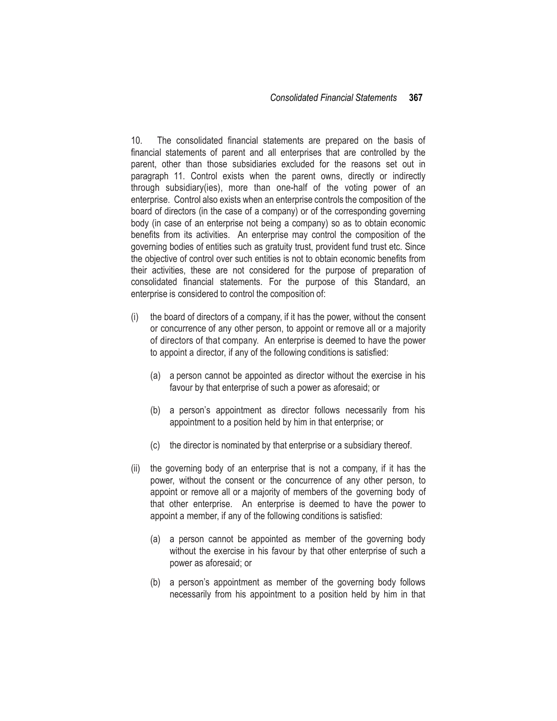10. The consolidated financial statements are prepared on the basis of financial statements of parent and all enterprises that are controlled by the parent, other than those subsidiaries excluded for the reasons set out in paragraph 11. Control exists when the parent owns, directly or indirectly through subsidiary(ies), more than one-half of the voting power of an enterprise. Control also exists when an enterprise controls the composition of the board of directors (in the case of a company) or of the corresponding governing body (in case of an enterprise not being a company) so as to obtain economic benefits from its activities. An enterprise may control the composition of the governing bodies of entities such as gratuity trust, provident fund trust etc. Since the objective of control over such entities is not to obtain economic benefits from their activities, these are not considered for the purpose of preparation of consolidated financial statements. For the purpose of this Standard, an enterprise is considered to control the composition of:

- (i) the board of directors of a company, if it has the power, without the consent or concurrence of any other person, to appoint or remove all or a majority of directors of that company. An enterprise is deemed to have the power to appoint a director, if any of the following conditions is satisfied:
	- (a) a person cannot be appointed as director without the exercise in his favour by that enterprise of such a power as aforesaid; or
	- (b) a person's appointment as director follows necessarily from his appointment to a position held by him in that enterprise; or
	- (c) the director is nominated by that enterprise or a subsidiary thereof.
- (ii) the governing body of an enterprise that is not a company, if it has the power, without the consent or the concurrence of any other person, to appoint or remove all or a majority of members of the governing body of that other enterprise. An enterprise is deemed to have the power to appoint a member, if any of the following conditions is satisfied:
	- (a) a person cannot be appointed as member of the governing body without the exercise in his favour by that other enterprise of such a power as aforesaid; or
	- (b) a person's appointment as member of the governing body follows necessarily from his appointment to a position held by him in that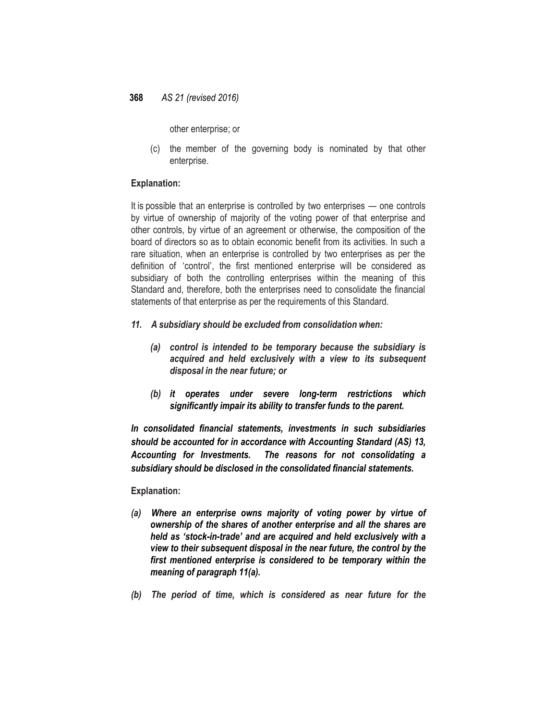other enterprise; or

(c) the member of the governing body is nominated by that other enterprise.

#### **Explanation:**

It is possible that an enterprise is controlled by two enterprises — one controls by virtue of ownership of majority of the voting power of that enterprise and other controls, by virtue of an agreement or otherwise, the composition of the board of directors so as to obtain economic benefit from its activities. In such a rare situation, when an enterprise is controlled by two enterprises as per the definition of 'control', the first mentioned enterprise will be considered as subsidiary of both the controlling enterprises within the meaning of this Standard and, therefore, both the enterprises need to consolidate the financial statements of that enterprise as per the requirements of this Standard.

- *11. A subsidiary should be excluded from consolidation when:*
	- *(a) control is intended to be temporary because the subsidiary is acquired and held exclusively with a view to its subsequent disposal in the near future; or*
	- *(b) it operates under severe long-term restrictions which significantly impair its ability to transfer funds to the parent.*

*In consolidated financial statements, investments in such subsidiaries should be accounted for in accordance with Accounting Standard (AS) 13, Accounting for Investments. The reasons for not consolidating a subsidiary should be disclosed in the consolidated financial statements.*

#### **Explanation:**

- *(a) Where an enterprise owns majority of voting power by virtue of ownership of the shares of another enterprise and all the shares are held as 'stock-in-trade' and are acquired and held exclusively with a view to their subsequent disposal in the near future, the control by the first mentioned enterprise is considered to be temporary within the meaning of paragraph 11(a).*
- *(b) The period of time, which is considered as near future for the*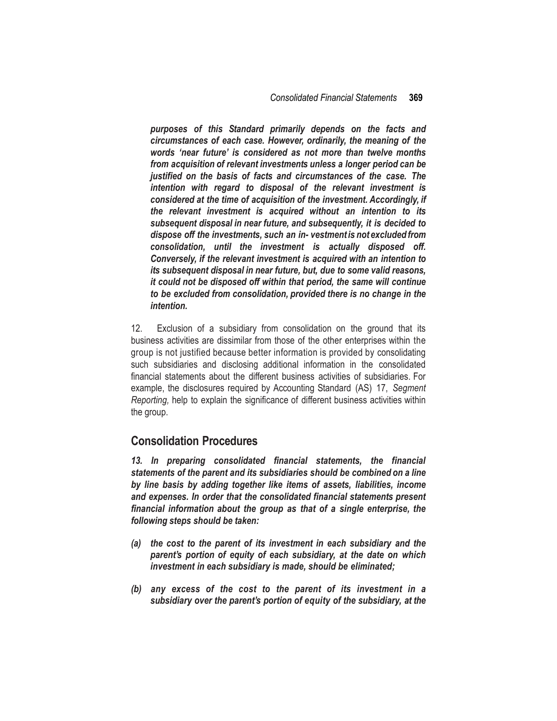*purposes of this Standard primarily depends on the facts and circumstances of each case. However, ordinarily, the meaning of the words 'near future' is considered as not more than twelve months from acquisition of relevant investments unless a longer period can be justified on the basis of facts and circumstances of the case. The intention with regard to disposal of the relevant investment is considered at the time of acquisition of the investment. Accordingly, if the relevant investment is acquired without an intention to its subsequent disposal in near future, and subsequently, it is decided to dispose off the investments, such an in- vestmentis not excluded from consolidation, until the investment is actually disposed off. Conversely, if the relevant investment is acquired with an intention to its subsequent disposal in near future, but, due to some valid reasons, it could not be disposed off within that period, the same will continue to be excluded from consolidation, provided there is no change in the intention.*

12. Exclusion of a subsidiary from consolidation on the ground that its business activities are dissimilar from those of the other enterprises within the group is not justified because better information is provided by consolidating such subsidiaries and disclosing additional information in the consolidated financial statements about the different business activities of subsidiaries. For example, the disclosures required by Accounting Standard (AS) 17, *Segment Reporting,* help to explain the significance of different business activities within the group.

## **Consolidation Procedures**

*13. In preparing consolidated financial statements, the financial statements of the parent and its subsidiaries should be combined on a line by line basis by adding together like items of assets, liabilities, income and expenses. In order that the consolidated financial statements present financial information about the group as that of a single enterprise, the following steps should be taken:*

- *(a) the cost to the parent of its investment in each subsidiary and the parent's portion of equity of each subsidiary, at the date on which investment in each subsidiary is made, should be eliminated;*
- *(b) any excess of the cost to the parent of its investment in a subsidiary over the parent's portion of equity of the subsidiary, at the*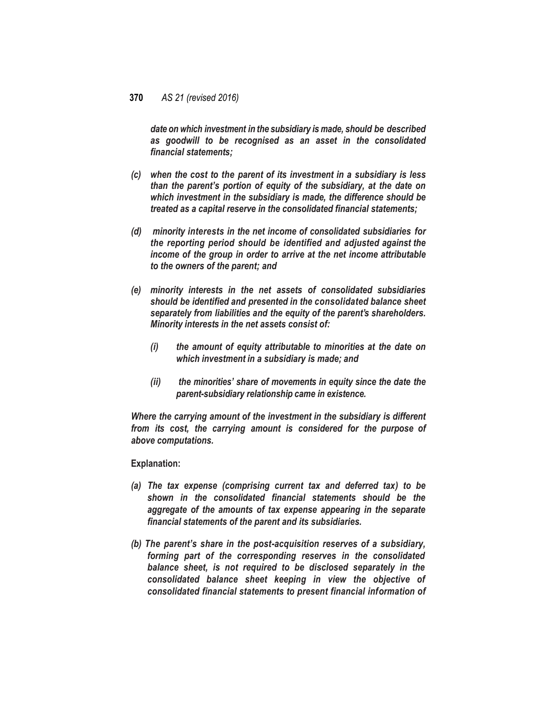#### **370** *AS 21 (revised 2016)*

*date on which investment in the subsidiary is made, should be described as goodwill to be recognised as an asset in the consolidated financial statements;*

- *(c) when the cost to the parent of its investment in a subsidiary is less than the parent's portion of equity of the subsidiary, at the date on which investment in the subsidiary is made, the difference should be treated as a capital reserve in the consolidated financial statements;*
- *(d) minority interests in the net income of consolidated subsidiaries for the reporting period should be identified and adjusted against the income of the group in order to arrive at the net income attributable to the owners of the parent; and*
- *(e) minority interests in the net assets of consolidated subsidiaries should be identified and presented in the consolidated balance sheet separately from liabilities and the equity of the parent's shareholders. Minority interests in the net assets consist of:*
	- *(i) the amount of equity attributable to minorities at the date on which investment in a subsidiary is made; and*
	- *(ii) the minorities' share of movements in equity since the date the parent-subsidiary relationship came in existence.*

*Where the carrying amount of the investment in the subsidiary is different from its cost, the carrying amount is considered for the purpose of above computations.*

**Explanation:**

- *(a) The tax expense (comprising current tax and deferred tax) to be shown in the consolidated financial statements should be the aggregate of the amounts of tax expense appearing in the separate financial statements of the parent and its subsidiaries.*
- *(b) The parent's share in the post-acquisition reserves of a subsidiary, forming part of the corresponding reserves in the consolidated balance sheet, is not required to be disclosed separately in the consolidated balance sheet keeping in view the objective of consolidated financial statements to present financial information of*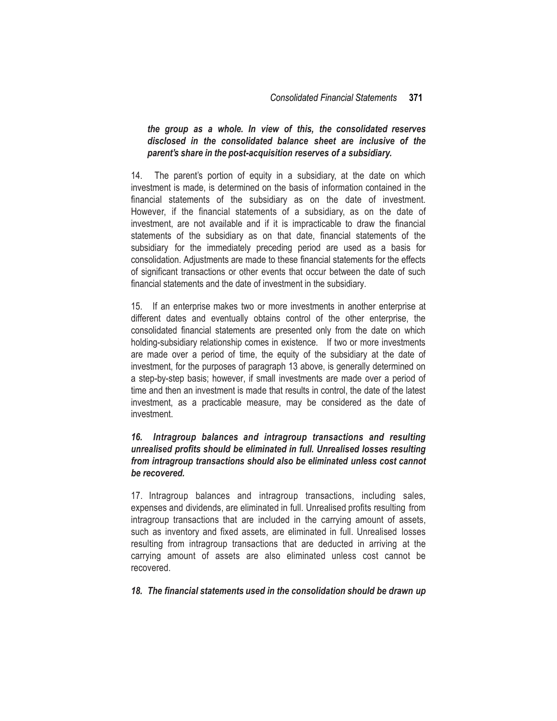#### *the group as a whole. In view of this, the consolidated reserves disclosed in the consolidated balance sheet are inclusive of the parent's share in the post-acquisition reserves of a subsidiary.*

14. The parent's portion of equity in a subsidiary, at the date on which investment is made, is determined on the basis of information contained in the financial statements of the subsidiary as on the date of investment. However, if the financial statements of a subsidiary, as on the date of investment, are not available and if it is impracticable to draw the financial statements of the subsidiary as on that date, financial statements of the subsidiary for the immediately preceding period are used as a basis for consolidation. Adjustments are made to these financial statements for the effects of significant transactions or other events that occur between the date of such financial statements and the date of investment in the subsidiary.

15. If an enterprise makes two or more investments in another enterprise at different dates and eventually obtains control of the other enterprise, the consolidated financial statements are presented only from the date on which holding-subsidiary relationship comes in existence. If two or more investments are made over a period of time, the equity of the subsidiary at the date of investment, for the purposes of paragraph 13 above, is generally determined on a step-by-step basis; however, if small investments are made over a period of time and then an investment is made that results in control, the date of the latest investment, as a practicable measure, may be considered as the date of investment.

### *16. Intragroup balances and intragroup transactions and resulting unrealised profits should be eliminated in full. Unrealised losses resulting from intragroup transactions should also be eliminated unless cost cannot be recovered.*

17. Intragroup balances and intragroup transactions, including sales, expenses and dividends, are eliminated in full. Unrealised profits resulting from intragroup transactions that are included in the carrying amount of assets, such as inventory and fixed assets, are eliminated in full. Unrealised losses resulting from intragroup transactions that are deducted in arriving at the carrying amount of assets are also eliminated unless cost cannot be recovered.

#### *18. The financial statements used in the consolidation should be drawn up*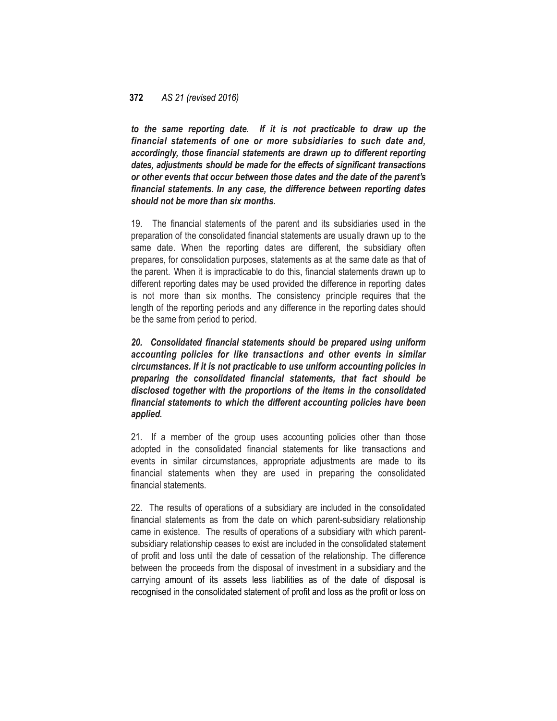#### **372** *AS 21 (revised 2016)*

*to the same reporting date. If it is not practicable to draw up the financial statements of one or more subsidiaries to such date and, accordingly, those financial statements are drawn up to different reporting dates, adjustments should be made for the effects of significant transactions or other events that occur between those dates and the date of the parent's financial statements. In any case, the difference between reporting dates should not be more than six months.*

19. The financial statements of the parent and its subsidiaries used in the preparation of the consolidated financial statements are usually drawn up to the same date. When the reporting dates are different, the subsidiary often prepares, for consolidation purposes, statements as at the same date as that of the parent. When it is impracticable to do this, financial statements drawn up to different reporting dates may be used provided the difference in reporting dates is not more than six months. The consistency principle requires that the length of the reporting periods and any difference in the reporting dates should be the same from period to period.

*20. Consolidated financial statements should be prepared using uniform accounting policies for like transactions and other events in similar circumstances. If it is not practicable to use uniform accounting policies in preparing the consolidated financial statements, that fact should be disclosed together with the proportions of the items in the consolidated financial statements to which the different accounting policies have been applied.*

21. If a member of the group uses accounting policies other than those adopted in the consolidated financial statements for like transactions and events in similar circumstances, appropriate adjustments are made to its financial statements when they are used in preparing the consolidated financial statements.

22. The results of operations of a subsidiary are included in the consolidated financial statements as from the date on which parent-subsidiary relationship came in existence. The results of operations of a subsidiary with which parentsubsidiary relationship ceases to exist are included in the consolidated statement of profit and loss until the date of cessation of the relationship. The difference between the proceeds from the disposal of investment in a subsidiary and the carrying amount of its assets less liabilities as of the date of disposal is recognised in the consolidated statement of profit and loss as the profit or loss on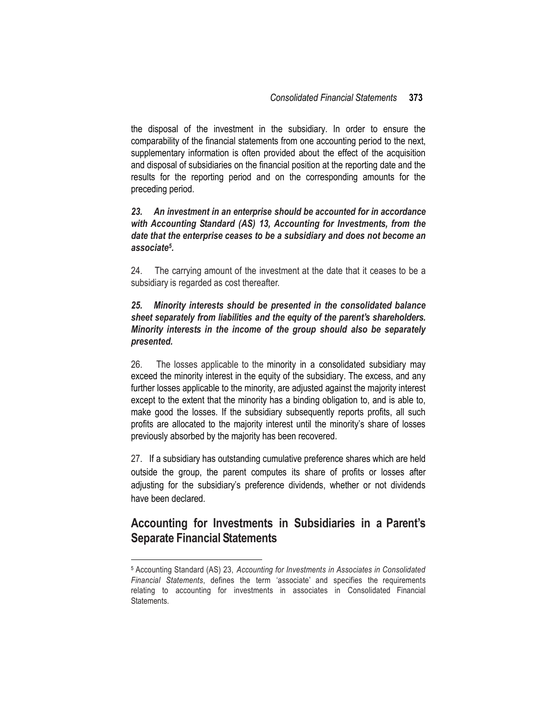the disposal of the investment in the subsidiary. In order to ensure the comparability of the financial statements from one accounting period to the next, supplementary information is often provided about the effect of the acquisition and disposal of subsidiaries on the financial position at the reporting date and the results for the reporting period and on the corresponding amounts for the preceding period.

## *23. An investment in an enterprise should be accounted for in accordance with Accounting Standard (AS) 13, Accounting for Investments, from the date that the enterprise ceases to be a subsidiary and does not become an associate<sup>5</sup> .*

24. The carrying amount of the investment at the date that it ceases to be a subsidiary is regarded as cost thereafter.

## *25. Minority interests should be presented in the consolidated balance sheet separately from liabilities and the equity of the parent's shareholders. Minority interests in the income of the group should also be separately presented.*

26. The losses applicable to the minority in a consolidated subsidiary may exceed the minority interest in the equity of the subsidiary. The excess, and any further losses applicable to the minority, are adjusted against the majority interest except to the extent that the minority has a binding obligation to, and is able to, make good the losses. If the subsidiary subsequently reports profits, all such profits are allocated to the majority interest until the minority's share of losses previously absorbed by the majority has been recovered.

27. If a subsidiary has outstanding cumulative preference shares which are held outside the group, the parent computes its share of profits or losses after adjusting for the subsidiary's preference dividends, whether or not dividends have been declared.

## **Accounting for Investments in Subsidiaries in a Parent's Separate Financial Statements**

l

<sup>5</sup> Accounting Standard (AS) 23, *Accounting for Investments in Associates in Consolidated Financial Statements*, defines the term 'associate' and specifies the requirements relating to accounting for investments in associates in Consolidated Financial Statements.